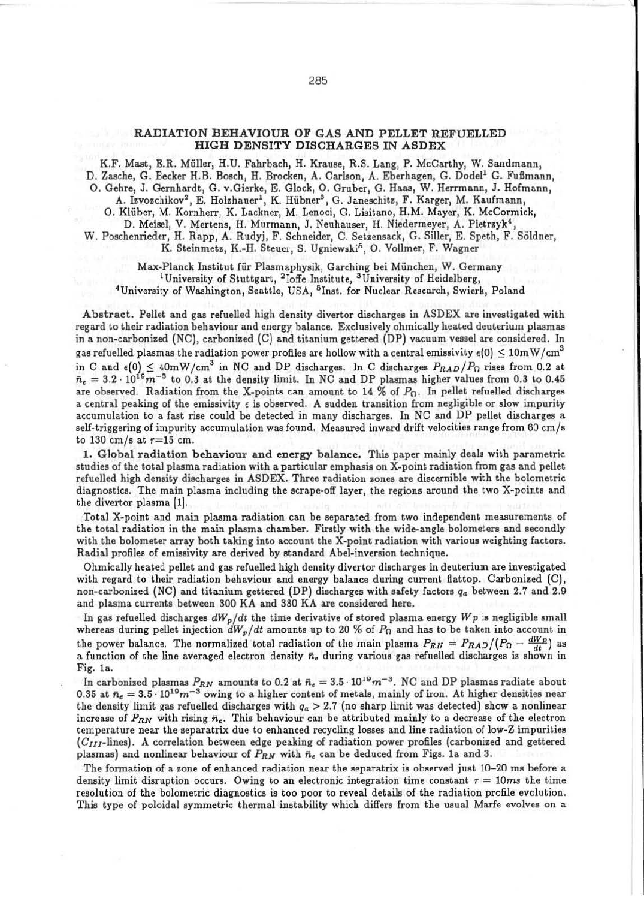## RADIATION BEHAVIOUR OF GAS AND PELLET REFUELLED HIGH DENSITY DISCHARGES IN ASDEX

K.F. Mast, E.R. Muller, H.U. Fahrbach, H. Krause, R.S. Lang, P. McCarthy, W. Sandmann, D. Zasche, G. Becker H.B. Bosch, H. Brocken, A. Carlson, A. Eberhagen, G. Dodel<sup>1</sup> G. Fußmann, 0. Gehre, J. Gemhardt, G. v.Gierke, E. Glock, 0. Gruber, G. Haas, W. Herrmann, J. Hofmann,

A. Izvozchikov<sup>2</sup>, E. Holzhauer<sup>1</sup>, K. Hübner<sup>3</sup>, G. Janeschitz, F. Karger, M. Kaufmann, 0. Kluber, M. Kornherr, K. Lackner, M. Lenoci, G. Lisitano, H.M. Mayer, K. McCormick,

D. Meisel, V. Mertens, H. Murmann, J. Neuhauser, H. Niedermeyer, A. Pietrzyk<sup>4</sup>

W. Poschenrieder, H. Rapp, A. Rudyj, F. Schneider, C. Setzensack, G. Siller, E. Speth, F. Soldner, K. Steinmetz, K.-H. Steuer, S. Ugniewski<sup>5</sup>, O. Vollmer, F. Wagner

Max-Planck Institut für Plasmaphysik, Garching bei München, W. Germany<br><sup>1</sup>University of Stuttgart, <sup>2</sup>Ioffe Institute, <sup>3</sup>University of Heidelberg, <sup>4</sup>University of Washington, Seattle, USA, <sup>5</sup> Inst. for Nuclear Research, Swierk, Poland

Abstract. Pellet and gas refuelled high density divertor discharges in ASDEX are investigated with regard to their radiation behaviour and energy balance. Exclusively ohmically heated deuterium pla8mas in a non-carbonized (NC), carbonized {C) and titanium gettered (DP) vacuum vessel are considered. In gas refuelled plasmas the radiation power profiles are hollow with a central emissivity  $\epsilon(0) \leq 10$ mW/cm<sup>3</sup> in C and  $\epsilon(0) \leq 40$ m W/cm<sup>3</sup> in NC and DP discharges. In C discharges  $P_{RAD}/P_{\Omega}$  rises from 0.2 at  $\bar{n}_{e} = 3.2 \cdot 10^{19} m^{-3}$  to 0.3 at the density limit. In NC and DP plasmas higher values from 0.3 to 0.45 are observed. Radiation from the X-points can amount to 14 % of  $P_{\Omega}$ . In pellet refuelled discharges a central peaking of the emissivity  $\epsilon$  is observed. A sudden transition from negligible or slow impurity accumulation to a fast rise could be detected in many discharges. In NC and DP pellet discharges a self-triggering of impurity accumulation was found. Measured inward drift velocities range from 60 cm/s to 130 cm/s at  $r=15$  cm.

1. Global radiation behaviour and energy balance. This paper mainly deals with parametric studies of the total plasma radiation with a particular emphasis on X-point radiation from gas and pellet refuelled high density discharges in ASDEX. Three radiation zones are discernible with the bolometric diagnostics. The main plasma including the scrape-off layer, the regions around the two X-points and the divertor plasma [1].

Total X-point and main plasma radiation can be separated from two independent measurements of the total radiation in the main plasma chamber. FirsLly with the wide-angle bolometers and secondly with the bolometer array both taking into account the X-point radiation with various weighting factors. Radial profiles of emissivity are derived by standard Abel-inversion technique.

Ohmically heated pellet and gas refuelled high density divertor discharges in deuterium are investigated with regard to their radiation behaviour and energy balance during current flattop. Carbonized (C), non-carbonized (NC) and titanium gettered {DP) discharges with safety factors *q*4 between 2.7 and 2.9 and plasma currents between 300 KA and 380 KA are considered here.

In gas refuelled discharges  $dW_p/dt$  the time derivative of stored plasma energy  $Wp$  is negligible small whereas during pellet injection  $dW_p/dt$  amounts up to 20 % of  $P_\Omega$  and has to be taken into account in the power balance. The normalized total radiation of the main plasma  $P_{RN} = P_{RAD}/(P_{\Omega} - \frac{dWp}{dt})$  as a function of the line averaged electron density  $n_e$  during various gas refuelled discharges is shown in Fig. la.

In carbonized plasmas  $P_{RN}$  amounts to 0.2 at  $\bar{n}_e = 3.5 \cdot 10^{19} m^{-3}$ . NC and DP plasmas radiate about 0.35 at  $n_e = 3.5 \cdot 10^{19} m^{-3}$  owing to a higher content of metals, mainly of iron. At higher densities near the density limit gas refuelled discharges with  $q_a > 2.7$  (no sharp limit was detected) show a nonlinear increase of  $P_{RN}$  with rising  $\bar{n}_e$ . This behaviour can be attributed mainly to a decrease of the electron temperature near lhe separatrix due to enhanced recycling losses and line radiation of low-Z impurities  $(C_{III}$ -lines). A correlation between edge peaking of radiation power profiles (carbonized and gettered plasmas) and nonlinear behaviour of  $P_{RN}$  with  $\bar{n}_e$  can be deduced from Figs. 1a and 3.

The formation of a zone of enhanced radiation near the separatrix is observed just 10-20 ms before a density limit disruption occurs. Owing to an electronic integration time constant  $\tau = 10ms$  the time resolution of the bolometric diagnostics is too poor to reveal details of the radiation profile evolution. This type of poloidal symmetric thermal instability which differs from the usual Marfe evolves on a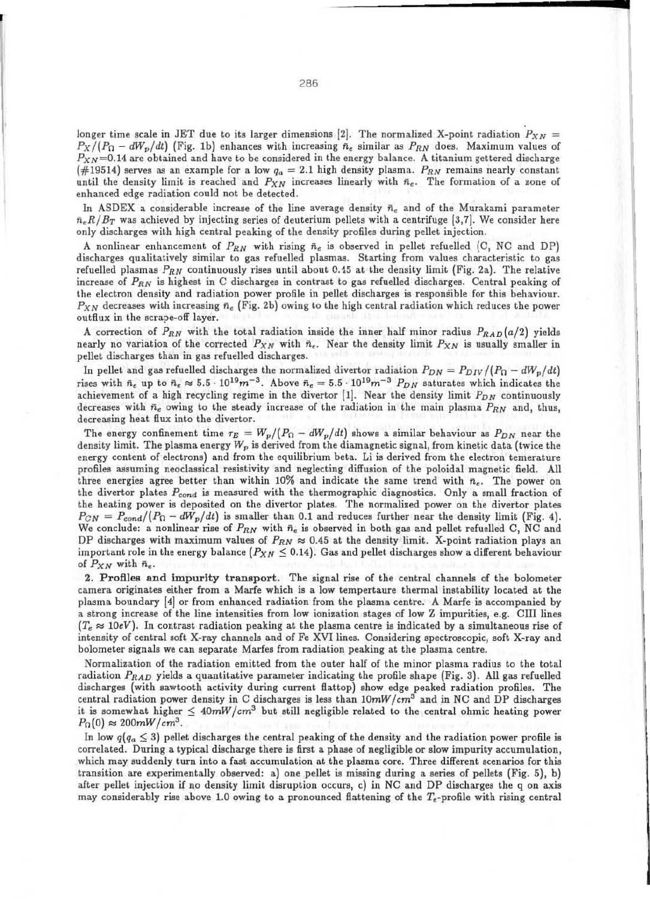longer time scale in JET due to its larger dimensions [2]. The normalized X-point radiation  $P_{XN}$  =  $P_X/(P_{\Omega} - dW_p/dt)$  (Fig. 1b) enhances with increasing  $\tilde{n}_e$  similar as  $P_{RN}$  does. Maximum values of  $P_{XN}$ =0.14 are obtained and have to be considered in the energy balance. A titanium gettered discharge (#19514) serves as an example for a low  $q_a = 2.1$  high density plasma.  $P_{RN}$  remains nearly constant until the density limit is reached and  $P_{XN}$  increases linearly with  $\bar{n}_e$ . The formation of a zone of enhanced edge radiation could not be detected.

In ASDEX a considerable increase of the line average density  $\bar{n}_e$  and of the Murakami parameter  $\bar{n}_e R/B_T$  was achieved by injecting series of deuterium pellets with a centrifuge [3,7]. We consider here only discharges with high central peaking of the density profiles during pellet injection.

A nonlinear enhancement of  $P_{RN}$  with rising  $\bar{n}_e$  is observed in pellet refuelled (C, NC and DP) discharges qualitatively similar to gas refuelled plasmas. Starting from values characteristic to gas refuelled plasmas  $P_{RN}$  continuously rises until about 0.45 at the density limit (Fig. 2a). The relative increase of  $P_{RN}$  is highest in C discharges in contrast to gas refuelled discharges. Central peaking of the electron density and radiation power profile in pellet discharges is responsible for this behaviour.  $P_{XN}$  decreases with increasing  $\bar{n}_e$  (Fig. 2b) owing to the high central radiation which reduces the power outflux in the scrape-off layer.

A correction of  $P_{RN}$  with the total radiation inside the inner half minor radius  $P_{RAD}(a/2)$  yields nearly no variation of the corrected  $P_{XN}$  with  $\bar{n}_e$ . Near the density limit  $P_{XN}$  is usually smaller in pellet discharges than in gas refuelled discharges.

In pellet and gas refuelled discharges the normalized divertor radiation  $P_{DN} = P_{DIV}/(P_0 - dW_p/dt)$ rises with  $\bar{n}_e$  up to  $\bar{n}_e \approx 5.5 \cdot 10^{19} m^{-3}$ . Above  $\bar{n}_e = 5.5 \cdot 10^{19} m^{-3}$   $P_{DN}$  saturates which indicates the achievement of a high recycling regime in the divertor  $[1]$ . Near the density limit  $P_{DN}$  continuously decreases with  $\bar{n}_e$  owing to the steady increase of the radiation in the main plasma  $P_{RN}$  and, thus, decreasing heat flux into the divertor.

The energy confinement time  $\tau_E = W_p/(P_\Omega - dW_p/dt)$  shows a similar behaviour as  $P_{DN}$  near the density limit. The plasma energy  $W_p$  is derived from the diamagnetic signal, from kinetic data (twice the energy content of electrons) and from the equilibrium beta. Li is derived from the electron temerature profiles assuming neoclassical resistivity and neglecting diffusion of the poloidal magnetic field. All three energies agree better than within 10% and indicate the same trend with  $\bar{n}_e$ . The power on the divertor plates  $P_{cond}$  is measured with the thermographic diagnostics. Only a small fraction of the heating power is deposited on the divertor plates. The normalized power on the divertor plates  $P_{CN} = P_{cond}/(P_{\Omega} - dW_p/dt)$  is smaller than 0.1 and reduces further near the density limit (Fig. 4). We conclude: a nonlinear rise of  $P_{RN}$  with  $\bar{n}_e$  is observed in both gas and pellet refuelled C, NC and DP discharges with maximum values of  $P_{RN} \approx 0.45$  at the density limit. X-point radiation plays an important role in the energy balance  $(P_{XN} \le 0.14)$ . Gas and pellet discharges show a different behaviour of  $P_{XN}$  with  $\bar{n}_e$ .

2. Profiles and Impurity transport. The signal rise of the central channels of the bolometer camera originates either from a Marfe which is a low tempertaure thermal instability located at the plasma boundary [4J or from enhanced radiation from the plasma centre. A Marfe is accompanied by a strong increase of the line intensities from low ionization stages of low Z impurities, e.g. CIII lines  $(T_e \approx 10eV)$ . In contrast radiation peaking at the plasma centre is indicated by a simultaneous rise of intensity of central soft X-ray channels and of Fe XVI lines. Considering spectroscopic, soft X-ray and bolometer signals we can separate Marfes from radiation peaking at the plasma centre.

Normalization of the radiation emitted from the outer half of the minor plasma radius to the total radiation  $P_{RAD}$  yields a quantitative parameter indicating the profile shape (Fig. 3). All gas refuelled discharges (with sawtooth activity during current flattop) show edge peaked radiation profiles. The central radiation power density in C discharges is less than  $10mW/cm<sup>3</sup>$  and in NC and DP discharges it is somewhat higher  $\leq 40mW/cm^3$  but still negligible related to the central ohmic heating power  $P_{\Omega}(0) \approx 200 mW/cm^3$ .

In low  $q(q_a \leq 3)$  pellet discharges the central peaking of the density and the radiation power profile is correlated. During a typical discharge there is first a phase of negligible or slow impurity accumulation, which may suddenly turn into a fast accumulation at the plasma core. Three different scenarios for this transition are experimentally observed: a) one pellet is missing during a series of pellets (Fig. 5), b) after pellet injection if no density limit disruption occurs, c) in NC and DP discharges the q on axis may considerably rise above 1.0 owing to a pronounced flattening of the  $T_e$ -profile with rising central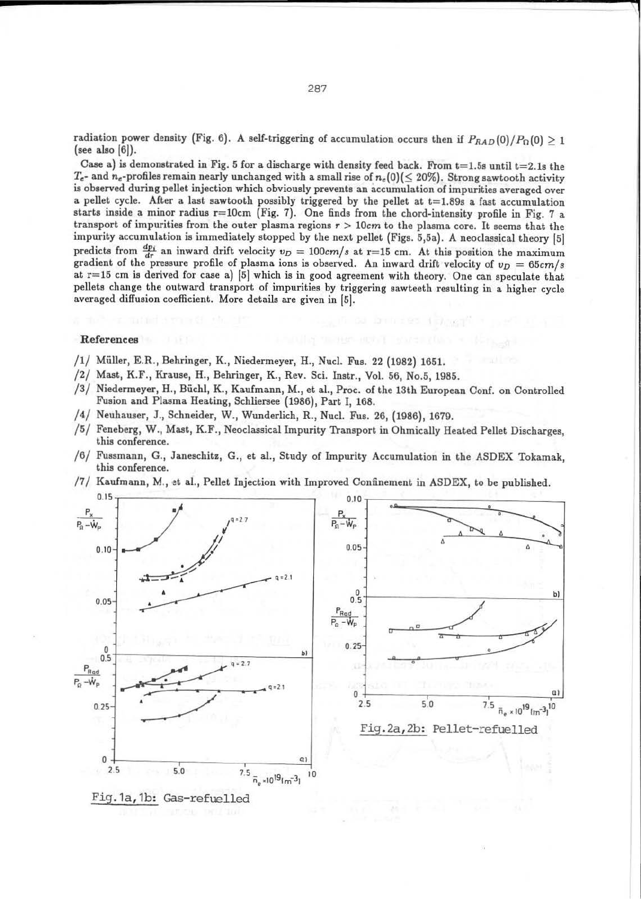radiation power density (Fig. 6). A self-triggering of accumulation occurs then if  $P_{RAD}(0)/P_{\Omega}(0)\geq 1$  $(see also [6]).$ 

Case a) is demonstrated in Fig. 5 for a discharge with density feed back. From  $t=1.5s$  until  $t=2.1s$  the  $T_{e}$ - and  $n_{e}$ -profiles remain nearly unchanged with a small rise of  $n_{e}(0)(\leq 20\%)$ . Strong sawtooth activity is observed during pellet injection which obviously prevents an accumulation of impurities averaged over a pellet cycle. After a last sawtooth possibly triggered by the pellet at  $t=1.89s$  a fast accumulation starts inside a minor radius r=10cm (Fig. 7). One finds from the chord-intensity profile in Fig. 7 a transport of impurities from the outer plasma regions  $r > 10$ cm to the plasma core. It seems that the impurity accumulation is immediately stopped by the next pellet (Figs. 5,5a). A neoclassical theory [5[ predicts from  $\frac{dp_i}{dr}$  an inward drift velocity  $v_D = 100 \, \text{cm/s}$  at r=15 cm. At this position the maximum gradient of the pressure profile of plasma ions is observed. An inward drift velocity of  $v_D = 65cm/s$ at r=l5 cm is derived for case a) [5[ which is in good agreement with theory. One can speculate that pellets change the outward transport of impurities by triggering sawteeth resulting in a higher cycle averaged diffusion coefficient. More details are given in [5[.

## References

- / 1/ Muller, E.R., Behringer, K., Niedermeyer, H., Nucl. Fus. 22 (1982) 1651.
- /2/ Mast, K.F., Krause, H., Behringer, K., Rev. Sci. Instr., Vol. 56, No.5, 1985.
- / 3/ Niedermeyer, H., Buehl, K., Kaufmann, M., et al., Proc. of the 13th European Conf. on Controlled Fusion and Plasma Heating, Schliersee (1986), Part I, 168.
- /4/ Neuhauser, J., Schneider, W., Wunderlich, R., Nucl. Fus. 26, (1986), 1679.
- / 5/ Feneberg, W ., Mast, K.F., Neoclassical Impurity Transport in Ohmically Heated Pellet Discharges, this conference.
- / 6/ Fussmann, G., Janeschitz, G., et al., Study of Impurity Accumulation in the ASDEX Tokamak, this conference.
- /7 / Kaufmann, M., et al., Pellet Injection with Improved Confinement in ASDEX, to be published.